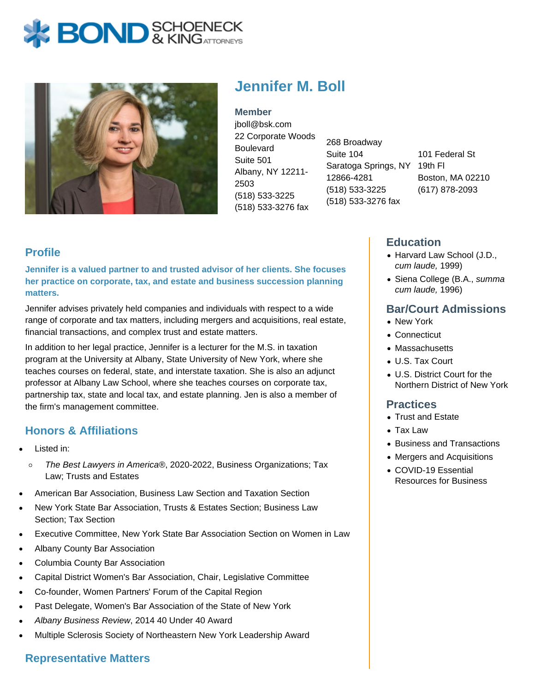# **BOND** & KINGATTORNECK



# **Jennifer M. Boll**

**Member** jboll@bsk.com 22 Corporate Woods **Boulevard** Suite 501 Albany, NY 12211- 2503 (518) 533-3225 (518) 533-3276 fax

268 Broadway Suite 104 Saratoga Springs, NY 19th Fl 12866-4281 (518) 533-3225 (518) 533-3276 fax

101 Federal St Boston, MA 02210 (617) 878-2093

### **Profile**

**Jennifer is a valued partner to and trusted advisor of her clients. She focuses her practice on corporate, tax, and estate and business succession planning matters.**

Jennifer advises privately held companies and individuals with respect to a wide range of corporate and tax matters, including mergers and acquisitions, real estate, financial transactions, and complex trust and estate matters.

In addition to her legal practice, Jennifer is a lecturer for the M.S. in taxation program at the University at Albany, State University of New York, where she teaches courses on federal, state, and interstate taxation. She is also an adjunct professor at Albany Law School, where she teaches courses on corporate tax, partnership tax, state and local tax, and estate planning. Jen is also a member of the firm's management committee.

# **Honors & Affiliations**

- Listed in:
	- $\circ$ The Best Lawyers in America®, 2020-2022, Business Organizations; Tax Law; Trusts and Estates
- American Bar Association, Business Law Section and Taxation Section
- New York State Bar Association, Trusts & Estates Section; Business Law Section; Tax Section
- Executive Committee, New York State Bar Association Section on Women in Law
- Albany County Bar Association
- Columbia County Bar Association
- Capital District Women's Bar Association, Chair, Legislative Committee
- Co-founder, Women Partners' Forum of the Capital Region
- Past Delegate, Women's Bar Association of the State of New York
- Albany Business Review, 2014 40 Under 40 Award
- Multiple Sclerosis Society of Northeastern New York Leadership Award

# **Representative Matters**

#### **Education**

- Harvard Law School (J.D., cum laude, 1999)
- Siena College (B.A., summa cum laude, 1996)

#### **Bar/Court Admissions**

- New York
- Connecticut
- Massachusetts
- U.S. Tax Court
- U.S. District Court for the Northern District of New York

#### **Practices**

- Trust and Estate
- Tax Law
- Business and Transactions
- Mergers and Acquisitions
- COVID-19 Essential Resources for Business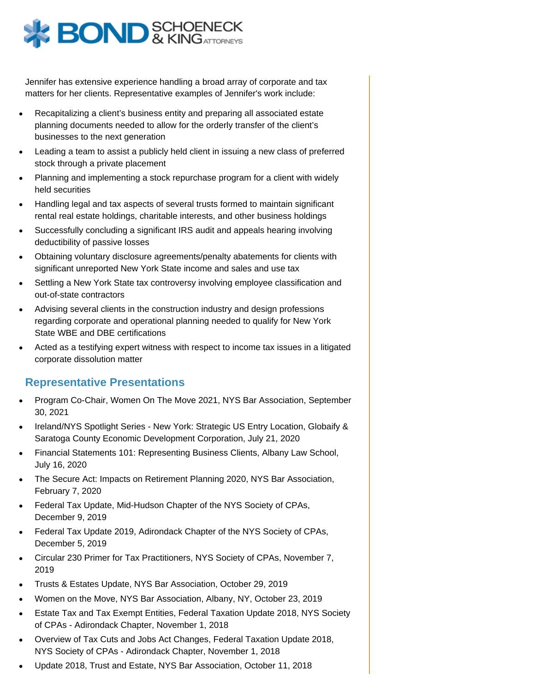

Jennifer has extensive experience handling a broad array of corporate and tax matters for her clients. Representative examples of Jennifer's work include:

- Recapitalizing a client's business entity and preparing all associated estate planning documents needed to allow for the orderly transfer of the client's businesses to the next generation
- Leading a team to assist a publicly held client in issuing a new class of preferred stock through a private placement
- Planning and implementing a stock repurchase program for a client with widely held securities
- Handling legal and tax aspects of several trusts formed to maintain significant rental real estate holdings, charitable interests, and other business holdings
- Successfully concluding a significant IRS audit and appeals hearing involving deductibility of passive losses
- Obtaining voluntary disclosure agreements/penalty abatements for clients with significant unreported New York State income and sales and use tax
- Settling a New York State tax controversy involving employee classification and out-of-state contractors
- Advising several clients in the construction industry and design professions regarding corporate and operational planning needed to qualify for New York State WBE and DBE certifications
- Acted as a testifying expert witness with respect to income tax issues in a litigated corporate dissolution matter

#### **Representative Presentations**

- Program Co-Chair, Women On The Move 2021, NYS Bar Association, September 30, 2021
- Ireland/NYS Spotlight Series New York: Strategic US Entry Location, Globaify & Saratoga County Economic Development Corporation, July 21, 2020
- Financial Statements 101: Representing Business Clients, Albany Law School, July 16, 2020
- The Secure Act: Impacts on Retirement Planning 2020, NYS Bar Association, February 7, 2020
- Federal Tax Update, Mid-Hudson Chapter of the NYS Society of CPAs, December 9, 2019
- Federal Tax Update 2019, Adirondack Chapter of the NYS Society of CPAs, December 5, 2019
- Circular 230 Primer for Tax Practitioners, NYS Society of CPAs, November 7, 2019
- Trusts & Estates Update, NYS Bar Association, October 29, 2019
- Women on the Move, NYS Bar Association, Albany, NY, October 23, 2019
- Estate Tax and Tax Exempt Entities, Federal Taxation Update 2018, NYS Society of CPAs - Adirondack Chapter, November 1, 2018
- Overview of Tax Cuts and Jobs Act Changes, Federal Taxation Update 2018, NYS Society of CPAs - Adirondack Chapter, November 1, 2018
- Update 2018, Trust and Estate, NYS Bar Association, October 11, 2018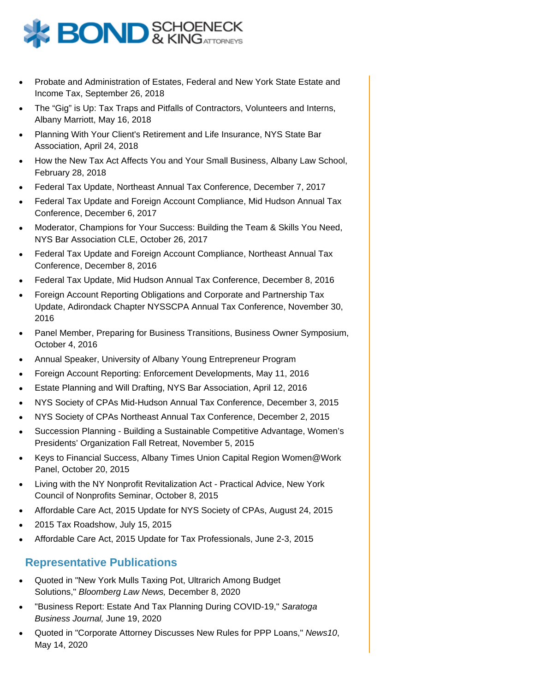

- Probate and Administration of Estates, Federal and New York State Estate and Income Tax, September 26, 2018
- The "Gig" is Up: Tax Traps and Pitfalls of Contractors, Volunteers and Interns, Albany Marriott, May 16, 2018
- Planning With Your Client's Retirement and Life Insurance, NYS State Bar Association, April 24, 2018
- How the New Tax Act Affects You and Your Small Business, Albany Law School, February 28, 2018
- Federal Tax Update, Northeast Annual Tax Conference, December 7, 2017
- Federal Tax Update and Foreign Account Compliance, Mid Hudson Annual Tax Conference, December 6, 2017
- Moderator, Champions for Your Success: Building the Team & Skills You Need, NYS Bar Association CLE, October 26, 2017
- Federal Tax Update and Foreign Account Compliance, Northeast Annual Tax Conference, December 8, 2016
- Federal Tax Update, Mid Hudson Annual Tax Conference, December 8, 2016
- Foreign Account Reporting Obligations and Corporate and Partnership Tax Update, Adirondack Chapter NYSSCPA Annual Tax Conference, November 30, 2016
- Panel Member, Preparing for Business Transitions, Business Owner Symposium, October 4, 2016
- Annual Speaker, University of Albany Young Entrepreneur Program
- Foreign Account Reporting: Enforcement Developments, May 11, 2016
- Estate Planning and Will Drafting, NYS Bar Association, April 12, 2016
- NYS Society of CPAs Mid-Hudson Annual Tax Conference, December 3, 2015
- NYS Society of CPAs Northeast Annual Tax Conference, December 2, 2015
- Succession Planning Building a Sustainable Competitive Advantage, Women's Presidents' Organization Fall Retreat, November 5, 2015
- Keys to Financial Success, Albany Times Union Capital Region Women@Work Panel, October 20, 2015
- Living with the NY Nonprofit Revitalization Act Practical Advice, New York Council of Nonprofits Seminar, October 8, 2015
- Affordable Care Act, 2015 Update for NYS Society of CPAs, August 24, 2015
- 2015 Tax Roadshow, July 15, 2015
- Affordable Care Act, 2015 Update for Tax Professionals, June 2-3, 2015

#### **Representative Publications**

- Quoted in "New York Mulls Taxing Pot, Ultrarich Among Budget Solutions," Bloomberg Law News, December 8, 2020
- "Business Report: Estate And Tax Planning During COVID-19," Saratoga Business Journal, June 19, 2020
- Quoted in "Corporate Attorney Discusses New Rules for PPP Loans," News10, May 14, 2020